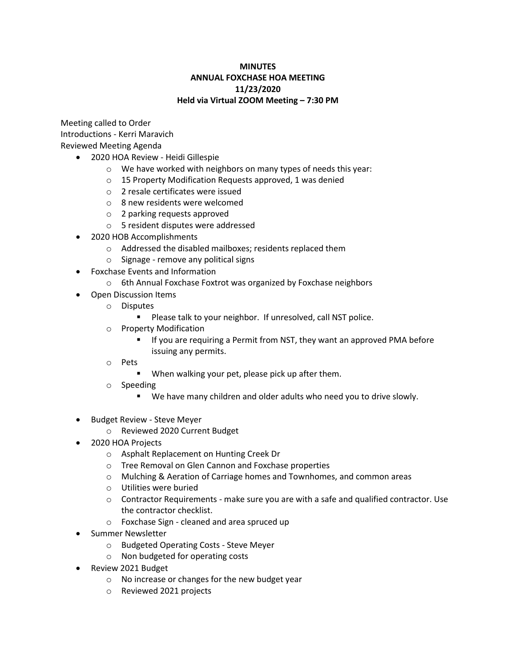## **MINUTES ANNUAL FOXCHASE HOA MEETING 11/23/2020 Held via Virtual ZOOM Meeting – 7:30 PM**

Meeting called to Order Introductions - Kerri Maravich Reviewed Meeting Agenda

- 2020 HOA Review Heidi Gillespie
	- o We have worked with neighbors on many types of needs this year:
	- o 15 Property Modification Requests approved, 1 was denied
	- o 2 resale certificates were issued
	- o 8 new residents were welcomed
	- o 2 parking requests approved
	- o 5 resident disputes were addressed
- 2020 HOB Accomplishments
	- o Addressed the disabled mailboxes; residents replaced them
	- o Signage remove any political signs
- Foxchase Events and Information
	- o 6th Annual Foxchase Foxtrot was organized by Foxchase neighbors
- Open Discussion Items
	- o Disputes
		- Please talk to your neighbor. If unresolved, call NST police.
	- o Property Modification
		- If you are requiring a Permit from NST, they want an approved PMA before issuing any permits.
	- o Pets
		- When walking your pet, please pick up after them.
	- o Speeding
		- We have many children and older adults who need you to drive slowly.
- Budget Review Steve Meyer
	- o Reviewed 2020 Current Budget
- 2020 HOA Projects
	- o Asphalt Replacement on Hunting Creek Dr
	- o Tree Removal on Glen Cannon and Foxchase properties
	- o Mulching & Aeration of Carriage homes and Townhomes, and common areas
	- o Utilities were buried
	- $\circ$  Contractor Requirements make sure you are with a safe and qualified contractor. Use the contractor checklist.
	- o Foxchase Sign cleaned and area spruced up
- Summer Newsletter
	- o Budgeted Operating Costs Steve Meyer
	- o Non budgeted for operating costs
- Review 2021 Budget
	- o No increase or changes for the new budget year
	- o Reviewed 2021 projects